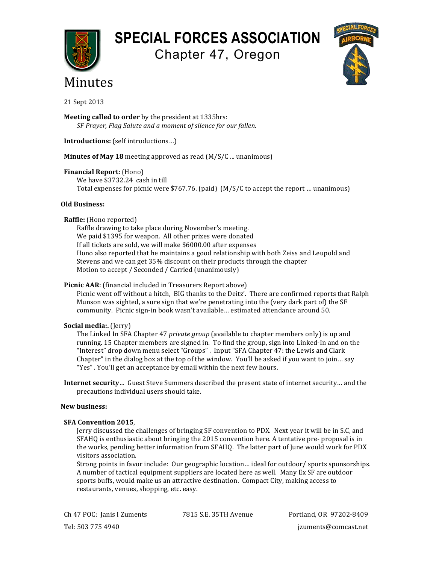**SPECIAL FORCES ASSOCIATION**

Chapter 47, Oregon





21 Sept 2013

**Meeting called to order** by the president at 1335hrs: *SF Prayer, Flag Salute and a moment of silence for our fallen.* 

**Introductions:** (self introductions...)

**Minutes of May 18** meeting approved as read (M/S/C ... unanimous)

**Financial Report:** (Hono)

We have \$3732.24 cash in till Total expenses for picnic were \$767.76. (paid)  $(M/S/Ct)$  accept the report ... unanimous)

## **Old Business:**

## **Raffle:** (Hono reported)

Raffle drawing to take place during November's meeting. We paid \$1395 for weapon. All other prizes were donated If all tickets are sold, we will make \$6000.00 after expenses Hono also reported that he maintains a good relationship with both Zeiss and Leupold and Stevens and we can get 35% discount on their products through the chapter Motion to accept / Seconded / Carried (unanimously)

# **Picnic AAR**: (financial included in Treasurers Report above)

Picnic went off without a hitch, BIG thanks to the Deitz'. There are confirmed reports that Ralph Munson was sighted, a sure sign that we're penetrating into the (very dark part of) the SF community. Picnic sign-in book wasn't available... estimated attendance around 50.

# **Social media:.** (Jerry)

The Linked In SFA Chapter 47 *private group* (available to chapter members only) is up and running. 15 Chapter members are signed in. To find the group, sign into Linked-In and on the "Interest" drop down menu select "Groups". Input "SFA Chapter 47: the Lewis and Clark Chapter" in the dialog box at the top of the window. You'll be asked if you want to join... say "Yes". You'll get an acceptance by email within the next few hours.

**Internet security**… Guest Steve Summers described the present state of internet security… and the precautions individual users should take.

### **New business:**

### **SFA Convention 2015**,

Jerry discussed the challenges of bringing SF convention to PDX. Next year it will be in S.C, and SFAHQ is enthusiastic about bringing the 2015 convention here. A tentative pre- proposal is in the works, pending better information from SFAHQ. The latter part of June would work for PDX visitors association.

Strong points in favor include: Our geographic location... ideal for outdoor/ sports sponsorships. A number of tactical equipment suppliers are located here as well. Many Ex SF are outdoor sports buffs, would make us an attractive destination. Compact City, making access to restaurants, venues, shopping, etc. easy.